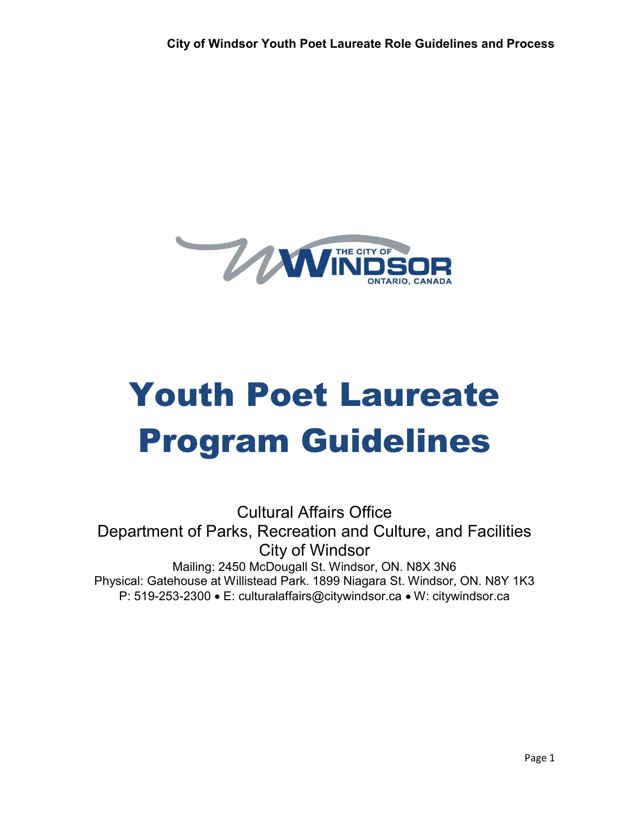

# Youth Poet Laureate Program Guidelines

Cultural Affairs Office Department of Parks, Recreation and Culture, and Facilities City of Windsor Mailing: 2450 McDougall St. Windsor, ON. N8X 3N6 Physical: Gatehouse at Willistead Park. 1899 Niagara St. Windsor, ON. N8Y 1K3 P: 519-253-2300 • E: [culturalaffairs@citywindsor.ca](mailto:culturalaffairs@citywindsor.ca) • W: citywindsor.ca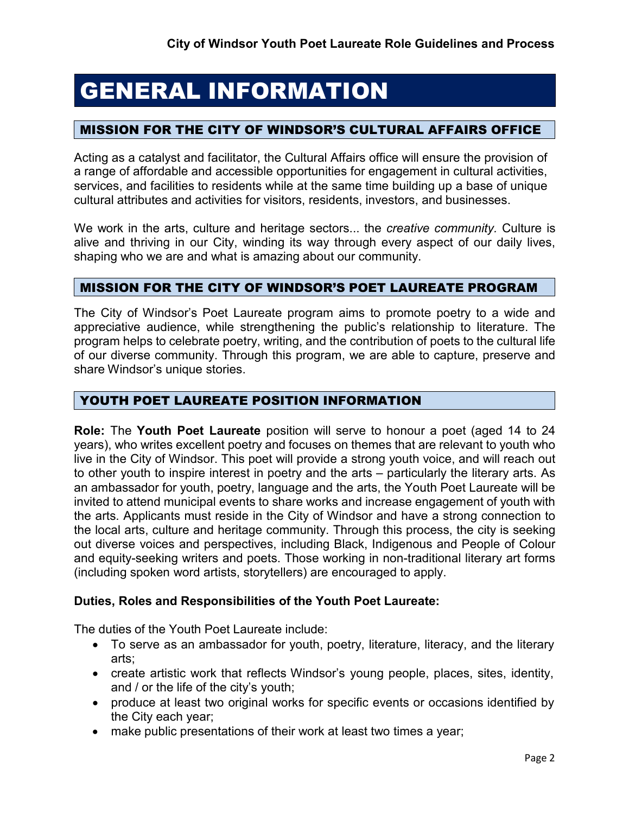# GENERAL INFORMATION

# MISSION FOR THE CITY OF WINDSOR'S CULTURAL AFFAIRS OFFICE

Acting as a catalyst and facilitator, the Cultural Affairs office will ensure the provision of a range of affordable and accessible opportunities for engagement in cultural activities, services, and facilities to residents while at the same time building up a base of unique cultural attributes and activities for visitors, residents, investors, and businesses.

We work in the arts, culture and heritage sectors... the *creative community.* Culture is alive and thriving in our City, winding its way through every aspect of our daily lives, shaping who we are and what is amazing about our community.

# MISSION FOR THE CITY OF WINDSOR'S POET LAUREATE PROGRAM

The City of Windsor's Poet Laureate program aims to promote poetry to a wide and appreciative audience, while strengthening the public's relationship to literature. The program helps to celebrate poetry, writing, and the contribution of poets to the cultural life of our diverse community. Through this program, we are able to capture, preserve and share Windsor's unique stories.

#### YOUTH POET LAUREATE POSITION INFORMATION

**Role:** The **Youth Poet Laureate** position will serve to honour a poet (aged 14 to 24 years), who writes excellent poetry and focuses on themes that are relevant to youth who live in the City of Windsor. This poet will provide a strong youth voice, and will reach out to other youth to inspire interest in poetry and the arts – particularly the literary arts. As an ambassador for youth, poetry, language and the arts, the Youth Poet Laureate will be invited to attend municipal events to share works and increase engagement of youth with the arts. Applicants must reside in the City of Windsor and have a strong connection to the local arts, culture and heritage community. Through this process, the city is seeking out diverse voices and perspectives, including Black, Indigenous and People of Colour and equity-seeking writers and poets. Those working in non-traditional literary art forms (including spoken word artists, storytellers) are encouraged to apply.

#### **Duties, Roles and Responsibilities of the Youth Poet Laureate:**

The duties of the Youth Poet Laureate include:

- To serve as an ambassador for youth, poetry, literature, literacy, and the literary arts;
- create artistic work that reflects Windsor's young people, places, sites, identity, and / or the life of the city's youth;
- produce at least two original works for specific events or occasions identified by the City each year;
- make public presentations of their work at least two times a year;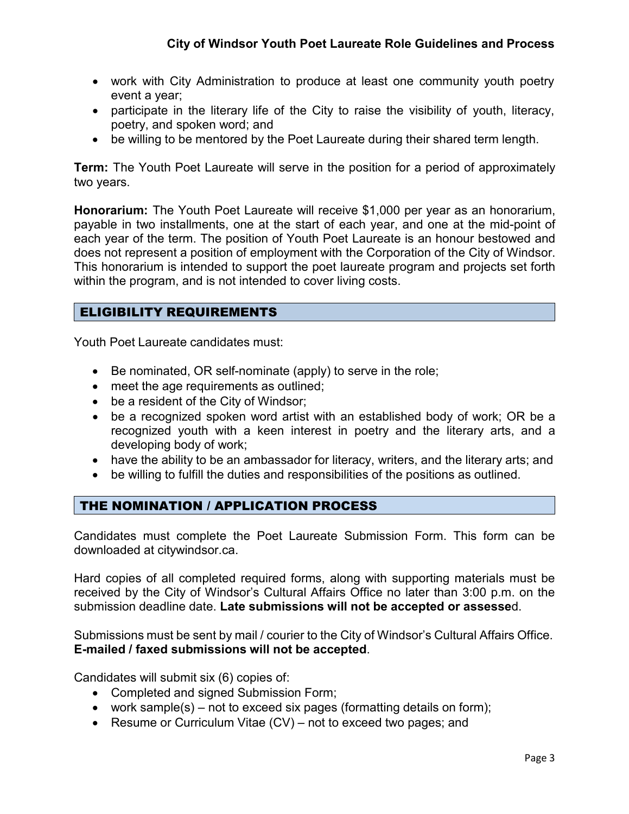- work with City Administration to produce at least one community youth poetry event a year;
- participate in the literary life of the City to raise the visibility of youth, literacy, poetry, and spoken word; and
- be willing to be mentored by the Poet Laureate during their shared term length.

**Term:** The Youth Poet Laureate will serve in the position for a period of approximately two years.

**Honorarium:** The Youth Poet Laureate will receive \$1,000 per year as an honorarium, payable in two installments, one at the start of each year, and one at the mid-point of each year of the term. The position of Youth Poet Laureate is an honour bestowed and does not represent a position of employment with the Corporation of the City of Windsor. This honorarium is intended to support the poet laureate program and projects set forth within the program, and is not intended to cover living costs.

# ELIGIBILITY REQUIREMENTS

Youth Poet Laureate candidates must:

- Be nominated, OR self-nominate (apply) to serve in the role;
- meet the age requirements as outlined;
- be a resident of the City of Windsor;
- be a recognized spoken word artist with an established body of work; OR be a recognized youth with a keen interest in poetry and the literary arts, and a developing body of work;
- have the ability to be an ambassador for literacy, writers, and the literary arts; and
- be willing to fulfill the duties and responsibilities of the positions as outlined.

#### THE NOMINATION / APPLICATION PROCESS

Candidates must complete the Poet Laureate Submission Form. This form can be downloaded at citywindsor.ca.

Hard copies of all completed required forms, along with supporting materials must be received by the City of Windsor's Cultural Affairs Office no later than 3:00 p.m. on the submission deadline date. **Late submissions will not be accepted or assesse**d.

Submissions must be sent by mail / courier to the City of Windsor's Cultural Affairs Office. **E-mailed / faxed submissions will not be accepted**.

Candidates will submit six (6) copies of:

- Completed and signed Submission Form;
- work sample(s) not to exceed six pages (formatting details on form);
- Resume or Curriculum Vitae (CV) not to exceed two pages; and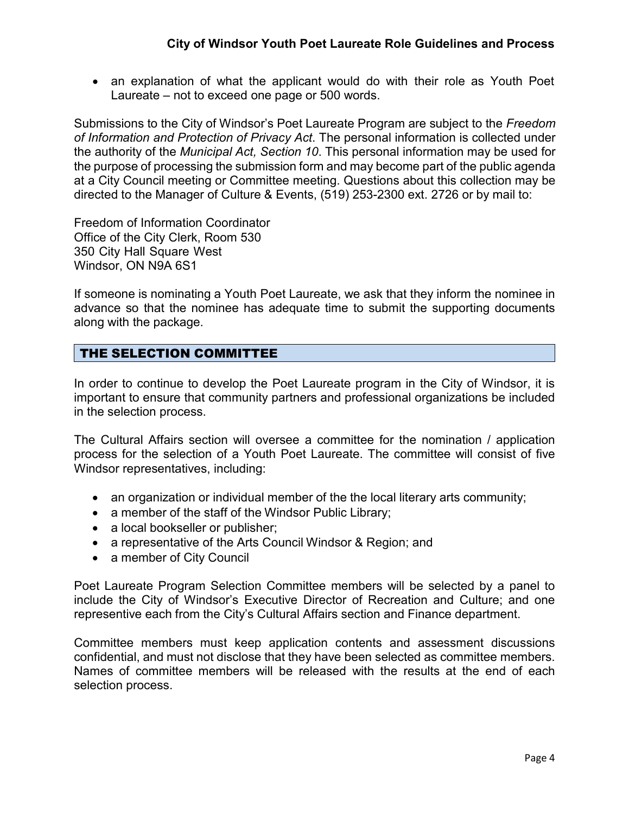• an explanation of what the applicant would do with their role as Youth Poet Laureate – not to exceed one page or 500 words.

Submissions to the City of Windsor's Poet Laureate Program are subject to the *Freedom of Information and Protection of Privacy Act*. The personal information is collected under the authority of the *Municipal Act, Section 10*. This personal information may be used for the purpose of processing the submission form and may become part of the public agenda at a City Council meeting or Committee meeting. Questions about this collection may be directed to the Manager of Culture & Events, (519) 253-2300 ext. 2726 or by mail to:

Freedom of Information Coordinator Office of the City Clerk, Room 530 350 City Hall Square West Windsor, ON N9A 6S1

If someone is nominating a Youth Poet Laureate, we ask that they inform the nominee in advance so that the nominee has adequate time to submit the supporting documents along with the package.

# THE SELECTION COMMITTEE

In order to continue to develop the Poet Laureate program in the City of Windsor, it is important to ensure that community partners and professional organizations be included in the selection process.

The Cultural Affairs section will oversee a committee for the nomination / application process for the selection of a Youth Poet Laureate. The committee will consist of five Windsor representatives, including:

- an organization or individual member of the the local literary arts community;
- a member of the staff of the Windsor Public Library;
- a local bookseller or publisher;
- a representative of the Arts Council Windsor & Region; and
- a member of City Council

Poet Laureate Program Selection Committee members will be selected by a panel to include the City of Windsor's Executive Director of Recreation and Culture; and one representive each from the City's Cultural Affairs section and Finance department.

Committee members must keep application contents and assessment discussions confidential, and must not disclose that they have been selected as committee members. Names of committee members will be released with the results at the end of each selection process.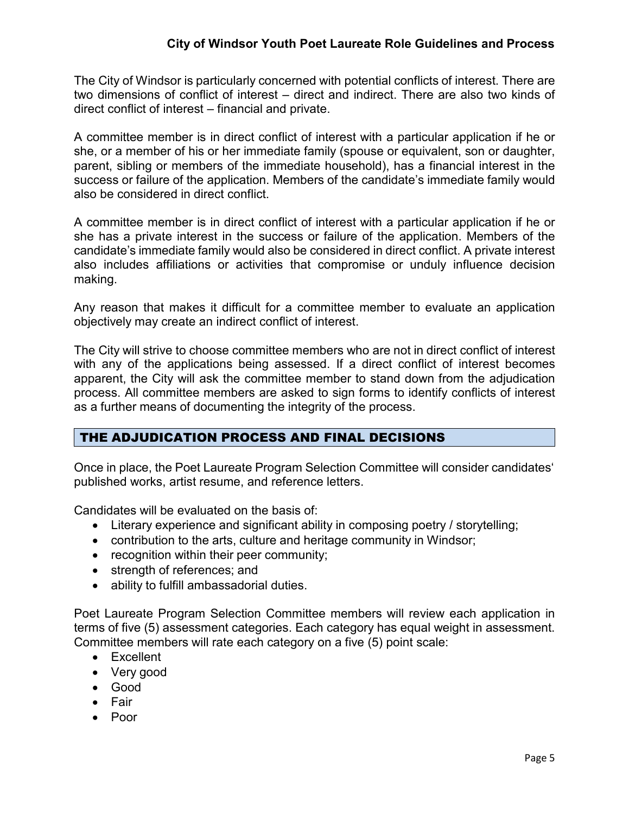#### **City of Windsor Youth Poet Laureate Role Guidelines and Process**

The City of Windsor is particularly concerned with potential conflicts of interest. There are two dimensions of conflict of interest – direct and indirect. There are also two kinds of direct conflict of interest – financial and private.

A committee member is in direct conflict of interest with a particular application if he or she, or a member of his or her immediate family (spouse or equivalent, son or daughter, parent, sibling or members of the immediate household), has a financial interest in the success or failure of the application. Members of the candidate's immediate family would also be considered in direct conflict.

A committee member is in direct conflict of interest with a particular application if he or she has a private interest in the success or failure of the application. Members of the candidate's immediate family would also be considered in direct conflict. A private interest also includes affiliations or activities that compromise or unduly influence decision making.

Any reason that makes it difficult for a committee member to evaluate an application objectively may create an indirect conflict of interest.

The City will strive to choose committee members who are not in direct conflict of interest with any of the applications being assessed. If a direct conflict of interest becomes apparent, the City will ask the committee member to stand down from the adjudication process. All committee members are asked to sign forms to identify conflicts of interest as a further means of documenting the integrity of the process.

# THE ADJUDICATION PROCESS AND FINAL DECISIONS

Once in place, the Poet Laureate Program Selection Committee will consider candidates' published works, artist resume, and reference letters.

Candidates will be evaluated on the basis of:

- Literary experience and significant ability in composing poetry / storytelling;
- contribution to the arts, culture and heritage community in Windsor;
- recognition within their peer community;
- strength of references; and
- ability to fulfill ambassadorial duties.

Poet Laureate Program Selection Committee members will review each application in terms of five (5) assessment categories. Each category has equal weight in assessment. Committee members will rate each category on a five (5) point scale:

- Excellent
- Very good
- Good
- Fair
- Poor